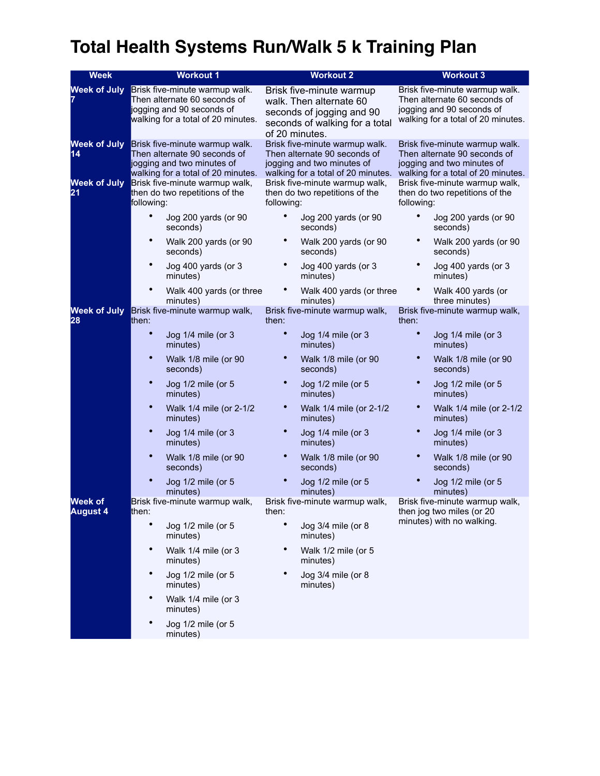## **Total Health Systems Run/Walk 5 k Training Plan**

| <b>Week</b>                | <b>Workout 1</b>                                                                                                                   | <b>Workout 2</b>                                                                                                                     | <b>Workout 3</b>                                                                                                                   |
|----------------------------|------------------------------------------------------------------------------------------------------------------------------------|--------------------------------------------------------------------------------------------------------------------------------------|------------------------------------------------------------------------------------------------------------------------------------|
| <b>Week of July</b>        | Brisk five-minute warmup walk.<br>Then alternate 60 seconds of<br>jogging and 90 seconds of<br>walking for a total of 20 minutes.  | Brisk five-minute warmup<br>walk. Then alternate 60<br>seconds of jogging and 90<br>seconds of walking for a total<br>of 20 minutes. | Brisk five-minute warmup walk.<br>Then alternate 60 seconds of<br>jogging and 90 seconds of<br>walking for a total of 20 minutes.  |
| <b>Week of July</b><br>14  | Brisk five-minute warmup walk.<br>Then alternate 90 seconds of<br>jogging and two minutes of<br>walking for a total of 20 minutes. | Brisk five-minute warmup walk.<br>Then alternate 90 seconds of<br>jogging and two minutes of<br>walking for a total of 20 minutes.   | Brisk five-minute warmup walk.<br>Then alternate 90 seconds of<br>jogging and two minutes of<br>walking for a total of 20 minutes. |
| <b>Week of July</b><br>21  | Brisk five-minute warmup walk,<br>then do two repetitions of the<br>following:                                                     | Brisk five-minute warmup walk,<br>then do two repetitions of the<br>following:                                                       | Brisk five-minute warmup walk,<br>then do two repetitions of the<br>following:                                                     |
|                            | ٠<br>Jog 200 yards (or 90<br>seconds)                                                                                              | Jog 200 yards (or 90<br>seconds)                                                                                                     | Jog 200 yards (or 90<br>seconds)                                                                                                   |
|                            | $\bullet$<br>Walk 200 yards (or 90<br>seconds)                                                                                     | Walk 200 yards (or 90<br>seconds)                                                                                                    | Walk 200 yards (or 90<br>seconds)                                                                                                  |
|                            | $\bullet$<br>Jog 400 yards (or 3<br>minutes)                                                                                       | Jog 400 yards (or 3<br>minutes)                                                                                                      | Jog 400 yards (or 3<br>minutes)                                                                                                    |
|                            | Walk 400 yards (or three<br>minutes)                                                                                               | Walk 400 yards (or three<br>minutes)                                                                                                 | Walk 400 yards (or<br>three minutes)                                                                                               |
| <b>Week of July</b><br>28  | Brisk five-minute warmup walk,<br>then:                                                                                            | Brisk five-minute warmup walk,<br>then:                                                                                              | Brisk five-minute warmup walk,<br>then:                                                                                            |
|                            | $\bullet$<br>Jog 1/4 mile (or 3<br>minutes)                                                                                        | $\bullet$<br>Jog 1/4 mile (or 3<br>minutes)                                                                                          | Jog 1/4 mile (or 3<br>minutes)                                                                                                     |
|                            | $\bullet$<br>Walk 1/8 mile (or 90<br>seconds)                                                                                      | Walk 1/8 mile (or 90<br>seconds)                                                                                                     | Walk 1/8 mile (or 90<br>seconds)                                                                                                   |
|                            | $\bullet$<br>Jog 1/2 mile (or 5<br>minutes)                                                                                        | Jog 1/2 mile (or 5<br>minutes)                                                                                                       | Jog 1/2 mile (or 5<br>minutes)                                                                                                     |
|                            | $\bullet$<br>Walk 1/4 mile (or 2-1/2<br>minutes)                                                                                   | Walk 1/4 mile (or 2-1/2<br>minutes)                                                                                                  | Walk 1/4 mile (or 2-1/2<br>minutes)                                                                                                |
|                            | Jog 1/4 mile (or 3<br>minutes)                                                                                                     | Jog 1/4 mile (or 3<br>minutes)                                                                                                       | Jog 1/4 mile (or 3<br>minutes)                                                                                                     |
|                            | Walk 1/8 mile (or 90<br>seconds)                                                                                                   | Walk 1/8 mile (or 90<br>seconds)                                                                                                     | Walk 1/8 mile (or 90<br>seconds)                                                                                                   |
|                            | Jog 1/2 mile (or 5<br>minutes)                                                                                                     | Jog 1/2 mile (or 5<br>minutes)                                                                                                       | Jog 1/2 mile (or 5<br>minutes)                                                                                                     |
| Week of<br><b>August 4</b> | Brisk five-minute warmup walk,<br>then:                                                                                            | Brisk five-minute warmup walk,<br>then:                                                                                              | Brisk five-minute warmup walk,<br>then jog two miles (or 20<br>minutes) with no walking.                                           |
|                            | Jog 1/2 mile (or 5<br>minutes)                                                                                                     | Jog 3/4 mile (or 8<br>minutes)                                                                                                       |                                                                                                                                    |
|                            | ٠<br>Walk 1/4 mile (or 3<br>minutes)                                                                                               | Walk 1/2 mile (or 5<br>minutes)                                                                                                      |                                                                                                                                    |
|                            | ٠<br>Jog 1/2 mile (or 5<br>minutes)                                                                                                | Jog 3/4 mile (or 8<br>minutes)                                                                                                       |                                                                                                                                    |
|                            | $\bullet$<br>Walk 1/4 mile (or 3<br>minutes)                                                                                       |                                                                                                                                      |                                                                                                                                    |
|                            | ٠<br>Jog 1/2 mile (or 5<br>minutes)                                                                                                |                                                                                                                                      |                                                                                                                                    |